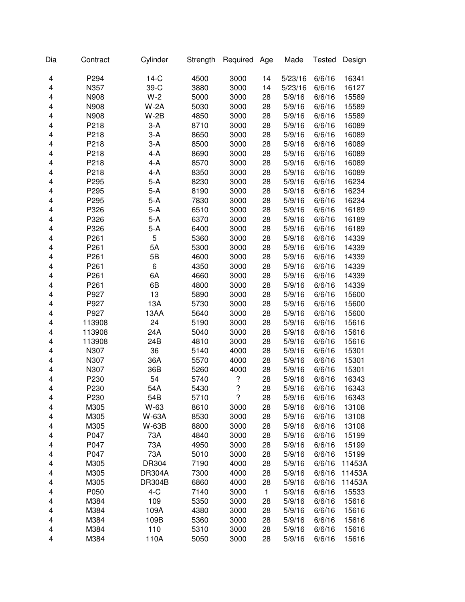| Dia | Contract | Cylinder      | Strength | Required           | Age          | Made    | <b>Tested</b> | Design |
|-----|----------|---------------|----------|--------------------|--------------|---------|---------------|--------|
| 4   | P294     | $14-C$        | 4500     | 3000               | 14           | 5/23/16 | 6/6/16        | 16341  |
| 4   | N357     | 39-C          | 3880     | 3000               | 14           | 5/23/16 | 6/6/16        | 16127  |
| 4   | N908     | $W-2$         | 5000     | 3000               | 28           | 5/9/16  | 6/6/16        | 15589  |
| 4   | N908     | $W-2A$        | 5030     | 3000               | 28           | 5/9/16  | 6/6/16        | 15589  |
| 4   | N908     | $W-2B$        | 4850     | 3000               | 28           | 5/9/16  | 6/6/16        | 15589  |
| 4   | P218     | $3-A$         | 8710     | 3000               | 28           | 5/9/16  | 6/6/16        | 16089  |
| 4   | P218     | $3-A$         | 8650     | 3000               | 28           | 5/9/16  | 6/6/16        | 16089  |
| 4   | P218     | $3-A$         | 8500     | 3000               | 28           | 5/9/16  | 6/6/16        | 16089  |
| 4   | P218     | $4-A$         | 8690     | 3000               | 28           | 5/9/16  | 6/6/16        | 16089  |
| 4   | P218     | $4 - A$       | 8570     | 3000               | 28           | 5/9/16  | 6/6/16        | 16089  |
| 4   | P218     | $4 - A$       | 8350     | 3000               | 28           | 5/9/16  | 6/6/16        | 16089  |
| 4   | P295     | $5-A$         | 8230     | 3000               | 28           | 5/9/16  | 6/6/16        | 16234  |
| 4   | P295     | $5-A$         | 8190     | 3000               | 28           | 5/9/16  | 6/6/16        | 16234  |
| 4   | P295     | $5-A$         | 7830     | 3000               | 28           | 5/9/16  | 6/6/16        | 16234  |
| 4   | P326     | $5-A$         | 6510     | 3000               | 28           | 5/9/16  | 6/6/16        | 16189  |
| 4   | P326     | $5-A$         | 6370     | 3000               | 28           | 5/9/16  | 6/6/16        | 16189  |
| 4   | P326     | $5-A$         | 6400     | 3000               | 28           | 5/9/16  | 6/6/16        | 16189  |
| 4   | P261     | 5             | 5360     | 3000               | 28           | 5/9/16  | 6/6/16        | 14339  |
| 4   | P261     | 5A            | 5300     | 3000               | 28           | 5/9/16  | 6/6/16        | 14339  |
| 4   | P261     | 5B            | 4600     | 3000               | 28           | 5/9/16  | 6/6/16        | 14339  |
| 4   | P261     | 6             | 4350     | 3000               | 28           | 5/9/16  | 6/6/16        | 14339  |
| 4   | P261     | 6A            | 4660     | 3000               | 28           | 5/9/16  | 6/6/16        | 14339  |
| 4   | P261     | 6B            | 4800     | 3000               | 28           | 5/9/16  | 6/6/16        | 14339  |
| 4   | P927     | 13            | 5890     | 3000               | 28           | 5/9/16  | 6/6/16        | 15600  |
| 4   | P927     | 13A           | 5730     | 3000               | 28           | 5/9/16  | 6/6/16        | 15600  |
| 4   | P927     | 13AA          | 5640     | 3000               | 28           | 5/9/16  | 6/6/16        | 15600  |
| 4   | 113908   | 24            | 5190     | 3000               | 28           | 5/9/16  | 6/6/16        | 15616  |
| 4   | 113908   | 24A           | 5040     | 3000               | 28           | 5/9/16  | 6/6/16        | 15616  |
| 4   | 113908   | 24B           | 4810     | 3000               | 28           | 5/9/16  | 6/6/16        | 15616  |
| 4   | N307     | 36            | 5140     | 4000               | 28           | 5/9/16  | 6/6/16        | 15301  |
| 4   | N307     | 36A           | 5570     | 4000               | 28           | 5/9/16  | 6/6/16        | 15301  |
| 4   | N307     | 36B           | 5260     | 4000               | 28           | 5/9/16  | 6/6/16        | 15301  |
| 4   | P230     | 54            | 5740     | $\overline{\cdot}$ | 28           | 5/9/16  | 6/6/16        | 16343  |
| 4   | P230     | 54A           | 5430     | ?                  | 28           | 5/9/16  | 6/6/16        | 16343  |
| 4   | P230     | 54B           | 5710     | 7                  | 28           | 5/9/16  | 6/6/16        | 16343  |
| 4   | M305     | W-63          | 8610     | 3000               | 28           | 5/9/16  | 6/6/16        | 13108  |
| 4   | M305     | W-63A         | 8530     | 3000               | 28           | 5/9/16  | 6/6/16        | 13108  |
| 4   | M305     | W-63B         | 8800     | 3000               | 28           | 5/9/16  | 6/6/16        | 13108  |
| 4   | P047     | 73A           | 4840     | 3000               | 28           | 5/9/16  | 6/6/16        | 15199  |
| 4   | P047     | 73A           | 4950     | 3000               | 28           | 5/9/16  | 6/6/16        | 15199  |
| 4   | P047     | 73A           | 5010     | 3000               | 28           | 5/9/16  | 6/6/16        | 15199  |
| 4   | M305     | DR304         | 7190     | 4000               | 28           | 5/9/16  | 6/6/16        | 11453A |
| 4   | M305     | <b>DR304A</b> | 7300     | 4000               | 28           | 5/9/16  | 6/6/16        | 11453A |
| 4   | M305     | <b>DR304B</b> | 6860     | 4000               | 28           | 5/9/16  | 6/6/16        | 11453A |
| 4   | P050     | $4-C$         | 7140     | 3000               | $\mathbf{1}$ | 5/9/16  | 6/6/16        | 15533  |
| 4   | M384     | 109           | 5350     | 3000               | 28           | 5/9/16  | 6/6/16        | 15616  |
| 4   | M384     | 109A          | 4380     | 3000               | 28           | 5/9/16  | 6/6/16        | 15616  |
| 4   | M384     | 109B          | 5360     | 3000               | 28           | 5/9/16  | 6/6/16        | 15616  |
| 4   | M384     | 110           | 5310     | 3000               | 28           | 5/9/16  | 6/6/16        | 15616  |
| 4   | M384     | 110A          | 5050     | 3000               | 28           | 5/9/16  | 6/6/16        | 15616  |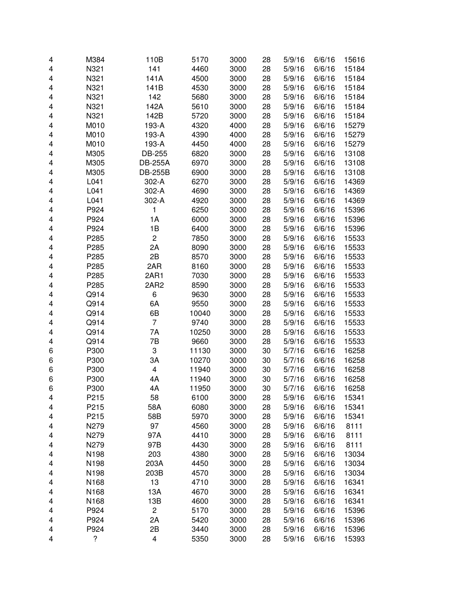| 4 | M384 | 110B                    | 5170  | 3000 | 28 | 5/9/16 | 6/6/16 | 15616 |
|---|------|-------------------------|-------|------|----|--------|--------|-------|
| 4 | N321 | 141                     | 4460  | 3000 | 28 | 5/9/16 | 6/6/16 | 15184 |
| 4 | N321 | 141A                    | 4500  | 3000 | 28 | 5/9/16 | 6/6/16 | 15184 |
| 4 | N321 | 141B                    | 4530  | 3000 | 28 | 5/9/16 | 6/6/16 | 15184 |
| 4 | N321 | 142                     | 5680  | 3000 | 28 | 5/9/16 | 6/6/16 | 15184 |
| 4 | N321 | 142A                    | 5610  | 3000 | 28 | 5/9/16 | 6/6/16 | 15184 |
| 4 | N321 | 142B                    | 5720  | 3000 | 28 | 5/9/16 | 6/6/16 | 15184 |
| 4 | M010 | 193-A                   | 4320  | 4000 | 28 | 5/9/16 | 6/6/16 | 15279 |
| 4 | M010 | 193-A                   | 4390  | 4000 | 28 | 5/9/16 | 6/6/16 | 15279 |
| 4 | M010 | 193-A                   | 4450  | 4000 | 28 | 5/9/16 | 6/6/16 | 15279 |
| 4 | M305 | DB-255                  | 6820  | 3000 | 28 | 5/9/16 | 6/6/16 | 13108 |
| 4 | M305 | <b>DB-255A</b>          | 6970  | 3000 | 28 | 5/9/16 | 6/6/16 | 13108 |
| 4 | M305 | <b>DB-255B</b>          | 6900  | 3000 | 28 | 5/9/16 | 6/6/16 | 13108 |
| 4 | L041 | 302-A                   | 6270  | 3000 | 28 | 5/9/16 | 6/6/16 | 14369 |
| 4 | L041 | 302-A                   | 4690  | 3000 | 28 | 5/9/16 | 6/6/16 | 14369 |
| 4 | L041 | 302-A                   | 4920  | 3000 | 28 | 5/9/16 | 6/6/16 | 14369 |
| 4 | P924 | 1                       | 6250  | 3000 | 28 | 5/9/16 | 6/6/16 | 15396 |
| 4 | P924 | 1A                      | 6000  | 3000 | 28 | 5/9/16 | 6/6/16 | 15396 |
| 4 | P924 | 1B                      | 6400  | 3000 | 28 | 5/9/16 | 6/6/16 | 15396 |
| 4 | P285 | $\overline{c}$          | 7850  | 3000 | 28 | 5/9/16 | 6/6/16 | 15533 |
| 4 | P285 | 2A                      | 8090  | 3000 | 28 | 5/9/16 | 6/6/16 | 15533 |
| 4 | P285 | 2B                      | 8570  | 3000 | 28 | 5/9/16 | 6/6/16 | 15533 |
| 4 | P285 | 2AR                     | 8160  | 3000 | 28 | 5/9/16 | 6/6/16 | 15533 |
| 4 | P285 | 2AR1                    | 7030  | 3000 | 28 | 5/9/16 | 6/6/16 | 15533 |
| 4 | P285 | 2AR2                    | 8590  | 3000 | 28 | 5/9/16 | 6/6/16 | 15533 |
| 4 | Q914 | 6                       | 9630  | 3000 | 28 | 5/9/16 | 6/6/16 | 15533 |
| 4 | Q914 | 6A                      | 9550  | 3000 | 28 | 5/9/16 | 6/6/16 | 15533 |
| 4 | Q914 | 6B                      | 10040 | 3000 | 28 | 5/9/16 | 6/6/16 | 15533 |
| 4 | Q914 | $\overline{7}$          | 9740  | 3000 | 28 | 5/9/16 | 6/6/16 | 15533 |
| 4 | Q914 | 7A                      | 10250 | 3000 | 28 | 5/9/16 | 6/6/16 | 15533 |
| 4 | Q914 | 7B                      | 9660  | 3000 | 28 | 5/9/16 | 6/6/16 | 15533 |
| 6 | P300 | 3                       | 11130 | 3000 | 30 | 5/7/16 | 6/6/16 | 16258 |
| 6 | P300 | 3A                      | 10270 | 3000 | 30 | 5/7/16 | 6/6/16 | 16258 |
| 6 | P300 | 4                       | 11940 | 3000 | 30 | 5/7/16 | 6/6/16 | 16258 |
| 6 | P300 | 4A                      | 11940 | 3000 | 30 | 5/7/16 | 6/6/16 | 16258 |
| 6 | P300 | 4A                      | 11950 | 3000 | 30 | 5/7/16 | 6/6/16 | 16258 |
| 4 | P215 | 58                      | 6100  | 3000 | 28 | 5/9/16 | 6/6/16 | 15341 |
| 4 | P215 | 58A                     | 6080  | 3000 | 28 | 5/9/16 | 6/6/16 | 15341 |
| 4 | P215 | 58B                     | 5970  | 3000 | 28 | 5/9/16 | 6/6/16 | 15341 |
| 4 | N279 | 97                      | 4560  | 3000 | 28 | 5/9/16 | 6/6/16 | 8111  |
| 4 | N279 | 97A                     | 4410  | 3000 | 28 | 5/9/16 | 6/6/16 | 8111  |
| 4 | N279 | 97B                     | 4430  | 3000 | 28 | 5/9/16 | 6/6/16 | 8111  |
| 4 | N198 | 203                     | 4380  | 3000 | 28 | 5/9/16 | 6/6/16 | 13034 |
| 4 | N198 | 203A                    | 4450  | 3000 | 28 | 5/9/16 | 6/6/16 | 13034 |
| 4 | N198 | 203B                    | 4570  | 3000 | 28 | 5/9/16 | 6/6/16 | 13034 |
| 4 | N168 | 13                      | 4710  | 3000 | 28 | 5/9/16 | 6/6/16 | 16341 |
| 4 | N168 | 13A                     | 4670  | 3000 | 28 | 5/9/16 | 6/6/16 | 16341 |
| 4 | N168 | 13B                     | 4600  | 3000 | 28 | 5/9/16 | 6/6/16 | 16341 |
| 4 | P924 | $\overline{c}$          | 5170  | 3000 | 28 | 5/9/16 | 6/6/16 | 15396 |
| 4 | P924 | 2A                      | 5420  | 3000 | 28 | 5/9/16 | 6/6/16 | 15396 |
| 4 | P924 | 2B                      | 3440  | 3000 | 28 | 5/9/16 | 6/6/16 | 15396 |
| 4 | ?    | $\overline{\mathbf{4}}$ | 5350  | 3000 | 28 | 5/9/16 | 6/6/16 | 15393 |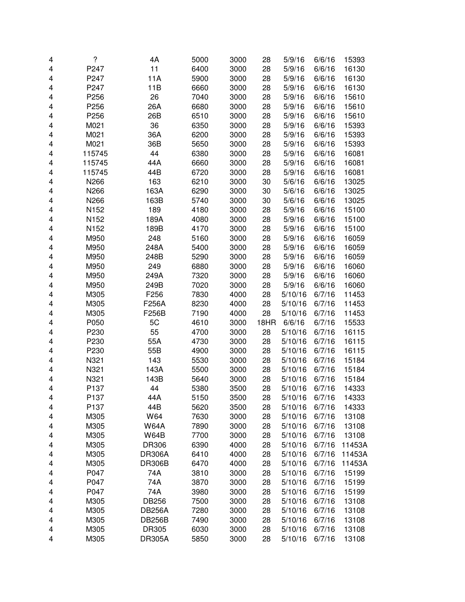| 4 | $\overline{\mathcal{C}}$ | 4A            | 5000 | 3000 | 28   | 5/9/16  | 6/6/16 | 15393  |
|---|--------------------------|---------------|------|------|------|---------|--------|--------|
| 4 | P247                     | 11            | 6400 | 3000 | 28   | 5/9/16  | 6/6/16 | 16130  |
| 4 | P247                     | 11A           | 5900 | 3000 | 28   | 5/9/16  | 6/6/16 | 16130  |
| 4 | P247                     | 11B           | 6660 | 3000 | 28   | 5/9/16  | 6/6/16 | 16130  |
| 4 | P256                     | 26            | 7040 | 3000 | 28   | 5/9/16  | 6/6/16 | 15610  |
| 4 | P256                     | 26A           | 6680 | 3000 | 28   | 5/9/16  | 6/6/16 | 15610  |
| 4 | P256                     | 26B           | 6510 | 3000 | 28   | 5/9/16  | 6/6/16 | 15610  |
| 4 | M021                     | 36            | 6350 | 3000 | 28   | 5/9/16  | 6/6/16 | 15393  |
| 4 | M021                     | 36A           | 6200 | 3000 | 28   | 5/9/16  | 6/6/16 | 15393  |
| 4 | M021                     | 36B           | 5650 | 3000 | 28   | 5/9/16  | 6/6/16 | 15393  |
| 4 | 115745                   | 44            | 6380 | 3000 | 28   | 5/9/16  | 6/6/16 | 16081  |
| 4 | 115745                   | 44A           | 6660 | 3000 | 28   | 5/9/16  | 6/6/16 | 16081  |
| 4 | 115745                   | 44B           | 6720 | 3000 | 28   | 5/9/16  | 6/6/16 | 16081  |
| 4 | N266                     | 163           | 6210 | 3000 | 30   | 5/6/16  | 6/6/16 | 13025  |
| 4 | N266                     | 163A          | 6290 | 3000 | 30   | 5/6/16  | 6/6/16 | 13025  |
| 4 | N266                     | 163B          | 5740 | 3000 | 30   | 5/6/16  | 6/6/16 | 13025  |
| 4 | N152                     | 189           | 4180 | 3000 | 28   | 5/9/16  | 6/6/16 | 15100  |
| 4 | N152                     | 189A          | 4080 | 3000 | 28   | 5/9/16  | 6/6/16 | 15100  |
| 4 | N152                     | 189B          | 4170 | 3000 | 28   | 5/9/16  | 6/6/16 | 15100  |
| 4 | M950                     | 248           | 5160 | 3000 | 28   | 5/9/16  | 6/6/16 | 16059  |
| 4 | M950                     | 248A          | 5400 | 3000 | 28   | 5/9/16  | 6/6/16 | 16059  |
| 4 | M950                     | 248B          | 5290 | 3000 | 28   | 5/9/16  | 6/6/16 | 16059  |
| 4 | M950                     | 249           | 6880 | 3000 | 28   | 5/9/16  | 6/6/16 | 16060  |
| 4 | M950                     | 249A          | 7320 | 3000 | 28   | 5/9/16  | 6/6/16 | 16060  |
| 4 | M950                     | 249B          | 7020 | 3000 | 28   | 5/9/16  | 6/6/16 | 16060  |
| 4 | M305                     | F256          | 7830 | 4000 | 28   | 5/10/16 | 6/7/16 | 11453  |
| 4 | M305                     | F256A         | 8230 | 4000 | 28   | 5/10/16 | 6/7/16 | 11453  |
| 4 | M305                     | F256B         | 7190 | 4000 | 28   | 5/10/16 | 6/7/16 | 11453  |
| 4 | P050                     | 5C            | 4610 | 3000 | 18HR | 6/6/16  | 6/7/16 | 15533  |
| 4 | P230                     | 55            | 4700 | 3000 | 28   | 5/10/16 | 6/7/16 | 16115  |
| 4 | P230                     | 55A           | 4730 | 3000 | 28   | 5/10/16 | 6/7/16 | 16115  |
| 4 | P230                     | 55B           | 4900 | 3000 | 28   | 5/10/16 | 6/7/16 | 16115  |
| 4 | N321                     | 143           | 5530 | 3000 | 28   | 5/10/16 | 6/7/16 | 15184  |
| 4 | N321                     | 143A          | 5500 | 3000 | 28   | 5/10/16 | 6/7/16 | 15184  |
| 4 | N321                     | 143B          | 5640 | 3000 | 28   | 5/10/16 | 6/7/16 | 15184  |
| 4 | P <sub>137</sub>         | 44            | 5380 | 3500 | 28   | 5/10/16 | 6/7/16 | 14333  |
| 4 | P <sub>137</sub>         | 44A           | 5150 | 3500 | 28   | 5/10/16 | 6/7/16 | 14333  |
| 4 | P137                     | 44B           | 5620 | 3500 | 28   | 5/10/16 | 6/7/16 | 14333  |
| 4 | M305                     | W64           | 7630 | 3000 | 28   | 5/10/16 | 6/7/16 | 13108  |
| 4 | M305                     | <b>W64A</b>   | 7890 | 3000 | 28   | 5/10/16 | 6/7/16 | 13108  |
| 4 | M305                     | <b>W64B</b>   | 7700 | 3000 | 28   | 5/10/16 | 6/7/16 | 13108  |
| 4 | M305                     | DR306         | 6390 | 4000 | 28   | 5/10/16 | 6/7/16 | 11453A |
| 4 | M305                     | <b>DR306A</b> | 6410 | 4000 | 28   | 5/10/16 | 6/7/16 | 11453A |
| 4 | M305                     | <b>DR306B</b> | 6470 | 4000 | 28   | 5/10/16 | 6/7/16 | 11453A |
| 4 | P047                     | 74A           | 3810 | 3000 | 28   | 5/10/16 | 6/7/16 | 15199  |
| 4 | P047                     | 74A           | 3870 | 3000 | 28   | 5/10/16 | 6/7/16 | 15199  |
| 4 | P047                     | 74A           | 3980 | 3000 | 28   | 5/10/16 | 6/7/16 | 15199  |
| 4 | M305                     | DB256         | 7500 | 3000 | 28   | 5/10/16 | 6/7/16 | 13108  |
| 4 | M305                     | <b>DB256A</b> | 7280 | 3000 | 28   | 5/10/16 | 6/7/16 | 13108  |
| 4 | M305                     | <b>DB256B</b> | 7490 | 3000 | 28   | 5/10/16 | 6/7/16 | 13108  |
| 4 | M305                     | DR305         | 6030 | 3000 | 28   | 5/10/16 | 6/7/16 | 13108  |
| 4 | M305                     | <b>DR305A</b> | 5850 | 3000 | 28   | 5/10/16 | 6/7/16 | 13108  |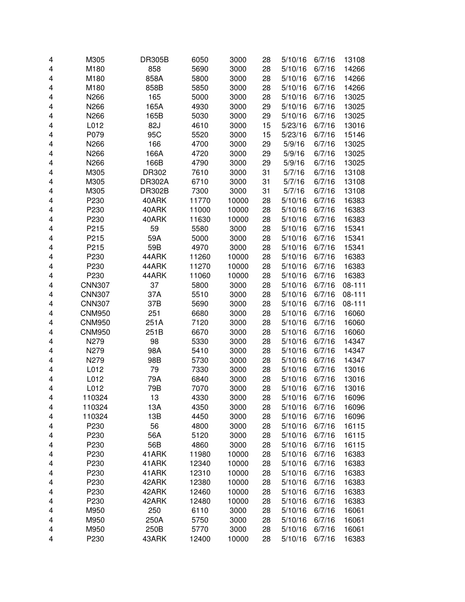| 4 | M305          | <b>DR305B</b> | 6050  | 3000  | 28 | 5/10/16 | 6/7/16 | 13108  |
|---|---------------|---------------|-------|-------|----|---------|--------|--------|
| 4 | M180          | 858           | 5690  | 3000  | 28 | 5/10/16 | 6/7/16 | 14266  |
| 4 | M180          | 858A          | 5800  | 3000  | 28 | 5/10/16 | 6/7/16 | 14266  |
| 4 | M180          | 858B          | 5850  | 3000  | 28 | 5/10/16 | 6/7/16 | 14266  |
| 4 | N266          | 165           | 5000  | 3000  | 28 | 5/10/16 | 6/7/16 | 13025  |
| 4 | N266          | 165A          | 4930  | 3000  | 29 | 5/10/16 | 6/7/16 | 13025  |
| 4 | N266          | 165B          | 5030  | 3000  | 29 | 5/10/16 | 6/7/16 | 13025  |
| 4 | L012          | 82J           | 4610  | 3000  | 15 | 5/23/16 | 6/7/16 | 13016  |
| 4 | P079          | 95C           | 5520  | 3000  | 15 | 5/23/16 | 6/7/16 | 15146  |
| 4 | N266          | 166           | 4700  | 3000  | 29 | 5/9/16  | 6/7/16 | 13025  |
| 4 | N266          | 166A          | 4720  | 3000  | 29 | 5/9/16  | 6/7/16 | 13025  |
| 4 | N266          | 166B          | 4790  | 3000  | 29 | 5/9/16  | 6/7/16 | 13025  |
| 4 | M305          | DR302         | 7610  | 3000  | 31 | 5/7/16  | 6/7/16 | 13108  |
| 4 | M305          | DR302A        | 6710  | 3000  | 31 | 5/7/16  | 6/7/16 | 13108  |
| 4 | M305          | <b>DR302B</b> | 7300  | 3000  | 31 | 5/7/16  | 6/7/16 | 13108  |
| 4 | P230          | 40ARK         | 11770 | 10000 | 28 | 5/10/16 | 6/7/16 | 16383  |
| 4 | P230          | 40ARK         | 11000 | 10000 | 28 | 5/10/16 | 6/7/16 | 16383  |
| 4 | P230          | 40ARK         | 11630 | 10000 | 28 | 5/10/16 | 6/7/16 | 16383  |
| 4 | P215          | 59            | 5580  | 3000  | 28 | 5/10/16 | 6/7/16 | 15341  |
| 4 | P215          | 59A           | 5000  | 3000  | 28 | 5/10/16 | 6/7/16 | 15341  |
| 4 | P215          | 59B           | 4970  | 3000  | 28 | 5/10/16 | 6/7/16 | 15341  |
| 4 | P230          | 44ARK         | 11260 | 10000 | 28 | 5/10/16 | 6/7/16 | 16383  |
| 4 | P230          | 44ARK         | 11270 | 10000 | 28 | 5/10/16 | 6/7/16 | 16383  |
| 4 | P230          | 44ARK         | 11060 | 10000 | 28 | 5/10/16 | 6/7/16 | 16383  |
| 4 | <b>CNN307</b> | 37            | 5800  | 3000  | 28 | 5/10/16 | 6/7/16 | 08-111 |
| 4 | <b>CNN307</b> | 37A           | 5510  | 3000  | 28 | 5/10/16 | 6/7/16 | 08-111 |
| 4 | <b>CNN307</b> | 37B           | 5690  | 3000  | 28 | 5/10/16 | 6/7/16 | 08-111 |
| 4 | <b>CNM950</b> | 251           | 6680  | 3000  | 28 | 5/10/16 | 6/7/16 | 16060  |
| 4 | <b>CNM950</b> | 251A          | 7120  | 3000  | 28 | 5/10/16 | 6/7/16 | 16060  |
| 4 | <b>CNM950</b> | 251B          | 6670  | 3000  | 28 | 5/10/16 | 6/7/16 | 16060  |
| 4 | N279          | 98            | 5330  | 3000  | 28 | 5/10/16 | 6/7/16 | 14347  |
| 4 | N279          | 98A           | 5410  | 3000  | 28 | 5/10/16 | 6/7/16 | 14347  |
| 4 | N279          | 98B           | 5730  | 3000  | 28 | 5/10/16 | 6/7/16 | 14347  |
| 4 | L012          | 79            | 7330  | 3000  | 28 | 5/10/16 | 6/7/16 | 13016  |
| 4 | L012          | 79A           | 6840  | 3000  | 28 | 5/10/16 | 6/7/16 | 13016  |
| 4 | L012          | 79B           | 7070  | 3000  | 28 | 5/10/16 | 6/7/16 | 13016  |
| 4 | 110324        | 13            | 4330  | 3000  | 28 | 5/10/16 | 6/7/16 | 16096  |
| 4 | 110324        | 13A           | 4350  | 3000  | 28 | 5/10/16 | 6/7/16 | 16096  |
| 4 | 110324        | 13B           | 4450  | 3000  | 28 | 5/10/16 | 6/7/16 | 16096  |
| 4 | P230          | 56            | 4800  | 3000  | 28 | 5/10/16 | 6/7/16 | 16115  |
| 4 | P230          | 56A           | 5120  | 3000  | 28 | 5/10/16 | 6/7/16 | 16115  |
| 4 | P230          | 56B           | 4860  | 3000  | 28 | 5/10/16 | 6/7/16 | 16115  |
| 4 | P230          | 41ARK         | 11980 | 10000 | 28 | 5/10/16 | 6/7/16 | 16383  |
| 4 | P230          | 41ARK         | 12340 | 10000 | 28 | 5/10/16 | 6/7/16 | 16383  |
| 4 | P230          | 41ARK         | 12310 | 10000 | 28 | 5/10/16 | 6/7/16 | 16383  |
| 4 | P230          | 42ARK         | 12380 | 10000 | 28 | 5/10/16 | 6/7/16 | 16383  |
| 4 | P230          | 42ARK         | 12460 | 10000 | 28 | 5/10/16 | 6/7/16 | 16383  |
| 4 | P230          | 42ARK         | 12480 | 10000 | 28 | 5/10/16 | 6/7/16 | 16383  |
| 4 | M950          | 250           | 6110  | 3000  | 28 | 5/10/16 | 6/7/16 | 16061  |
| 4 | M950          | 250A          | 5750  | 3000  | 28 | 5/10/16 | 6/7/16 | 16061  |
| 4 | M950          | 250B          | 5770  | 3000  | 28 | 5/10/16 | 6/7/16 | 16061  |
| 4 | P230          | 43ARK         | 12400 | 10000 | 28 | 5/10/16 | 6/7/16 | 16383  |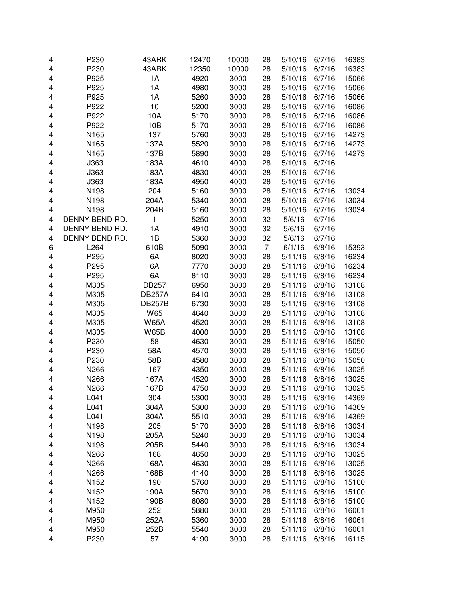| 4 | P230             | 43ARK                      | 12470        | 10000        | 28 | 5/10/16 | 6/7/16           | 16383          |
|---|------------------|----------------------------|--------------|--------------|----|---------|------------------|----------------|
| 4 | P230             | 43ARK                      | 12350        | 10000        | 28 | 5/10/16 | 6/7/16           | 16383          |
| 4 | P925             | 1A                         | 4920         | 3000         | 28 | 5/10/16 | 6/7/16           | 15066          |
| 4 | P925             | 1A                         | 4980         | 3000         | 28 | 5/10/16 | 6/7/16           | 15066          |
| 4 | P925             | 1A                         | 5260         | 3000         | 28 | 5/10/16 | 6/7/16           | 15066          |
| 4 | P922             | 10                         | 5200         | 3000         | 28 | 5/10/16 | 6/7/16           | 16086          |
| 4 | P922             | 10A                        | 5170         | 3000         | 28 | 5/10/16 | 6/7/16           | 16086          |
| 4 | P922             | 10B                        | 5170         | 3000         | 28 | 5/10/16 | 6/7/16           | 16086          |
| 4 | N165             | 137                        | 5760         | 3000         | 28 | 5/10/16 | 6/7/16           | 14273          |
| 4 | N165             | 137A                       | 5520         | 3000         | 28 | 5/10/16 | 6/7/16           | 14273          |
| 4 | N165             | 137B                       | 5890         | 3000         | 28 | 5/10/16 | 6/7/16           | 14273          |
| 4 | J363             | 183A                       | 4610         | 4000         | 28 | 5/10/16 | 6/7/16           |                |
| 4 | J363             | 183A                       | 4830         | 4000         | 28 | 5/10/16 | 6/7/16           |                |
| 4 | J363             | 183A                       | 4950         | 4000         | 28 | 5/10/16 | 6/7/16           |                |
| 4 | N198             | 204                        | 5160         | 3000         | 28 | 5/10/16 | 6/7/16           | 13034          |
| 4 | N198             | 204A                       | 5340         | 3000         | 28 | 5/10/16 | 6/7/16           | 13034          |
| 4 | N198             | 204B                       | 5160         | 3000         | 28 | 5/10/16 | 6/7/16           | 13034          |
| 4 | DENNY BEND RD.   | 1                          | 5250         | 3000         | 32 | 5/6/16  | 6/7/16           |                |
| 4 | DENNY BEND RD.   | 1A                         | 4910         | 3000         | 32 | 5/6/16  | 6/7/16           |                |
| 4 | DENNY BEND RD.   | 1B                         | 5360         | 3000         | 32 | 5/6/16  | 6/7/16           |                |
| 6 | L264             | 610B                       | 5090         | 3000         | 7  | 6/1/16  | 6/8/16           | 15393          |
| 4 | P295             | 6A                         | 8020         | 3000         | 28 | 5/11/16 | 6/8/16           | 16234          |
| 4 | P295             | 6A                         | 7770         | 3000         | 28 | 5/11/16 | 6/8/16           | 16234          |
| 4 | P295             | 6A                         | 8110         | 3000         | 28 | 5/11/16 | 6/8/16           | 16234          |
| 4 | M305             | <b>DB257</b>               | 6950         | 3000         | 28 | 5/11/16 | 6/8/16           | 13108          |
|   |                  |                            | 6410         | 3000         | 28 | 5/11/16 | 6/8/16           |                |
| 4 | M305             | <b>DB257A</b>              |              |              | 28 | 5/11/16 |                  | 13108<br>13108 |
| 4 | M305<br>M305     | <b>DB257B</b><br>W65       | 6730<br>4640 | 3000<br>3000 | 28 | 5/11/16 | 6/8/16<br>6/8/16 | 13108          |
| 4 |                  |                            |              |              | 28 | 5/11/16 | 6/8/16           |                |
| 4 | M305             | <b>W65A</b><br><b>W65B</b> | 4520         | 3000<br>3000 | 28 |         | 6/8/16           | 13108          |
| 4 | M305<br>P230     |                            | 4000         |              |    | 5/11/16 |                  | 13108          |
| 4 |                  | 58                         | 4630         | 3000         | 28 | 5/11/16 | 6/8/16           | 15050          |
| 4 | P230             | 58A                        | 4570<br>4580 | 3000         | 28 | 5/11/16 | 6/8/16<br>6/8/16 | 15050          |
| 4 | P230             | 58B                        |              | 3000         | 28 | 5/11/16 |                  | 15050          |
| 4 | N266             | 167                        | 4350         | 3000         | 28 | 5/11/16 | 6/8/16           | 13025          |
| 4 | N266             | 167A                       | 4520         | 3000         | 28 | 5/11/16 | 6/8/16           | 13025          |
| 4 | N266             | 167B                       | 4750         | 3000         | 28 | 5/11/16 | 6/8/16           | 13025          |
| 4 | L041             | 304                        | 5300         | 3000         | 28 | 5/11/16 | 6/8/16           | 14369          |
| 4 | L041             | 304A                       | 5300         | 3000         | 28 | 5/11/16 | 6/8/16           | 14369          |
| 4 | L041             | 304A                       | 5510         | 3000         | 28 | 5/11/16 | 6/8/16           | 14369          |
| 4 | N198             | 205                        | 5170         | 3000         | 28 | 5/11/16 | 6/8/16           | 13034          |
| 4 | N198             | 205A                       | 5240         | 3000         | 28 | 5/11/16 | 6/8/16           | 13034          |
| 4 | N198             | 205B                       | 5440         | 3000         | 28 | 5/11/16 | 6/8/16           | 13034          |
| 4 | N266             | 168                        | 4650         | 3000         | 28 | 5/11/16 | 6/8/16           | 13025          |
| 4 | N266             | 168A                       | 4630         | 3000         | 28 | 5/11/16 | 6/8/16           | 13025          |
| 4 | N266             | 168B                       | 4140         | 3000         | 28 | 5/11/16 | 6/8/16           | 13025          |
| 4 | N <sub>152</sub> | 190                        | 5760         | 3000         | 28 | 5/11/16 | 6/8/16           | 15100          |
| 4 | N <sub>152</sub> | 190A                       | 5670         | 3000         | 28 | 5/11/16 | 6/8/16           | 15100          |
| 4 | N152             | 190B                       | 6080         | 3000         | 28 | 5/11/16 | 6/8/16           | 15100          |
| 4 | M950             | 252                        | 5880         | 3000         | 28 | 5/11/16 | 6/8/16           | 16061          |
| 4 | M950             | 252A                       | 5360         | 3000         | 28 | 5/11/16 | 6/8/16           | 16061          |
| 4 | M950             | 252B                       | 5540         | 3000         | 28 | 5/11/16 | 6/8/16           | 16061          |
| 4 | P230             | 57                         | 4190         | 3000         | 28 | 5/11/16 | 6/8/16           | 16115          |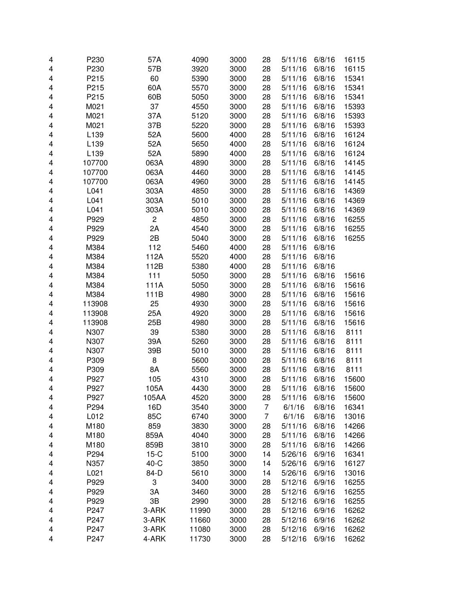| 4 | P230         | 57A    | 4090         | 3000 | 28       | 5/11/16            | 6/8/16 | 16115 |
|---|--------------|--------|--------------|------|----------|--------------------|--------|-------|
| 4 | P230         | 57B    | 3920         | 3000 | 28       | 5/11/16            | 6/8/16 | 16115 |
| 4 | P215         | 60     | 5390         | 3000 | 28       | 5/11/16            | 6/8/16 | 15341 |
| 4 | P215         | 60A    | 5570         | 3000 | 28       | 5/11/16            | 6/8/16 | 15341 |
| 4 | P215         | 60B    | 5050         | 3000 | 28       | 5/11/16            | 6/8/16 | 15341 |
| 4 | M021         | 37     | 4550         | 3000 | 28       | 5/11/16            | 6/8/16 | 15393 |
| 4 | M021         | 37A    | 5120         | 3000 | 28       | 5/11/16            | 6/8/16 | 15393 |
| 4 | M021         | 37B    | 5220         | 3000 | 28       | 5/11/16            | 6/8/16 | 15393 |
| 4 | L139         | 52A    | 5600         | 4000 | 28       | 5/11/16            | 6/8/16 | 16124 |
| 4 | L139         | 52A    | 5650         | 4000 | 28       | 5/11/16            | 6/8/16 | 16124 |
| 4 | L139         | 52A    | 5890         | 4000 | 28       | 5/11/16            | 6/8/16 | 16124 |
| 4 | 107700       | 063A   | 4890         | 3000 | 28       | 5/11/16            | 6/8/16 | 14145 |
| 4 | 107700       | 063A   | 4460         | 3000 | 28       | 5/11/16            | 6/8/16 | 14145 |
| 4 | 107700       | 063A   | 4960         | 3000 | 28       | 5/11/16            | 6/8/16 | 14145 |
| 4 | L041         | 303A   | 4850         | 3000 | 28       | 5/11/16            | 6/8/16 | 14369 |
| 4 | L041         | 303A   | 5010         | 3000 | 28       | 5/11/16            | 6/8/16 | 14369 |
| 4 | L041         | 303A   | 5010         | 3000 | 28       | 5/11/16            | 6/8/16 | 14369 |
| 4 | P929         | 2      | 4850         | 3000 | 28       | 5/11/16            | 6/8/16 | 16255 |
| 4 | P929         | 2A     | 4540         | 3000 | 28       | 5/11/16            | 6/8/16 | 16255 |
| 4 | P929         | 2B     | 5040         | 3000 | 28       | 5/11/16            | 6/8/16 | 16255 |
| 4 | M384         | 112    | 5460         | 4000 | 28       | 5/11/16            | 6/8/16 |       |
| 4 | M384         | 112A   | 5520         | 4000 | 28       | 5/11/16            | 6/8/16 |       |
| 4 | M384         | 112B   | 5380         | 4000 | 28       | 5/11/16            | 6/8/16 |       |
|   | M384         | 111    | 5050         | 3000 | 28       | 5/11/16            | 6/8/16 | 15616 |
| 4 |              | 111A   |              | 3000 | 28       |                    | 6/8/16 |       |
| 4 | M384<br>M384 |        | 5050<br>4980 |      |          | 5/11/16<br>5/11/16 |        | 15616 |
| 4 |              | 111B   |              | 3000 | 28       |                    | 6/8/16 | 15616 |
| 4 | 113908       | 25     | 4930         | 3000 | 28<br>28 | 5/11/16            | 6/8/16 | 15616 |
| 4 | 113908       | 25A    | 4920         | 3000 |          | 5/11/16            | 6/8/16 | 15616 |
| 4 | 113908       | 25B    | 4980         | 3000 | 28       | 5/11/16            | 6/8/16 | 15616 |
| 4 | N307         | 39     | 5380         | 3000 | 28       | 5/11/16            | 6/8/16 | 8111  |
| 4 | N307         | 39A    | 5260         | 3000 | 28       | 5/11/16            | 6/8/16 | 8111  |
| 4 | N307         | 39B    | 5010         | 3000 | 28       | 5/11/16            | 6/8/16 | 8111  |
| 4 | P309         | 8      | 5600         | 3000 | 28       | 5/11/16            | 6/8/16 | 8111  |
| 4 | P309         | 8A     | 5560         | 3000 | 28       | 5/11/16            | 6/8/16 | 8111  |
| 4 | P927         | 105    | 4310         | 3000 | 28       | 5/11/16            | 6/8/16 | 15600 |
| 4 | P927         | 105A   | 4430         | 3000 | 28       | 5/11/16            | 6/8/16 | 15600 |
| 4 | P927         | 105AA  | 4520         | 3000 | 28       | 5/11/16            | 6/8/16 | 15600 |
| 4 | P294         | 16D    | 3540         | 3000 | 7        | 6/1/16             | 6/8/16 | 16341 |
| 4 | L012         | 85C    | 6740         | 3000 | 7        | 6/1/16             | 6/8/16 | 13016 |
| 4 | M180         | 859    | 3830         | 3000 | 28       | 5/11/16            | 6/8/16 | 14266 |
| 4 | M180         | 859A   | 4040         | 3000 | 28       | 5/11/16            | 6/8/16 | 14266 |
| 4 | M180         | 859B   | 3810         | 3000 | 28       | 5/11/16            | 6/8/16 | 14266 |
| 4 | P294         | $15-C$ | 5100         | 3000 | 14       | 5/26/16            | 6/9/16 | 16341 |
| 4 | N357         | $40-C$ | 3850         | 3000 | 14       | 5/26/16            | 6/9/16 | 16127 |
| 4 | L021         | 84-D   | 5610         | 3000 | 14       | 5/26/16            | 6/9/16 | 13016 |
| 4 | P929         | 3      | 3400         | 3000 | 28       | 5/12/16            | 6/9/16 | 16255 |
| 4 | P929         | 3A     | 3460         | 3000 | 28       | 5/12/16            | 6/9/16 | 16255 |
| 4 | P929         | 3B     | 2990         | 3000 | 28       | 5/12/16            | 6/9/16 | 16255 |
| 4 | P247         | 3-ARK  | 11990        | 3000 | 28       | 5/12/16            | 6/9/16 | 16262 |
| 4 | P247         | 3-ARK  | 11660        | 3000 | 28       | 5/12/16            | 6/9/16 | 16262 |
| 4 | P247         | 3-ARK  | 11080        | 3000 | 28       | 5/12/16            | 6/9/16 | 16262 |
| 4 | P247         | 4-ARK  | 11730        | 3000 | 28       | 5/12/16            | 6/9/16 | 16262 |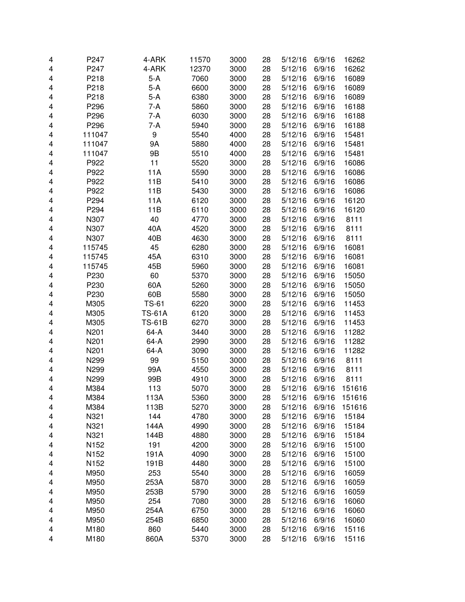| 4 | P247   | 4-ARK         | 11570 | 3000 | 28 | 5/12/16 | 6/9/16 | 16262  |
|---|--------|---------------|-------|------|----|---------|--------|--------|
| 4 | P247   | 4-ARK         | 12370 | 3000 | 28 | 5/12/16 | 6/9/16 | 16262  |
| 4 | P218   | $5-A$         | 7060  | 3000 | 28 | 5/12/16 | 6/9/16 | 16089  |
| 4 | P218   | $5-A$         | 6600  | 3000 | 28 | 5/12/16 | 6/9/16 | 16089  |
| 4 | P218   | $5-A$         | 6380  | 3000 | 28 | 5/12/16 | 6/9/16 | 16089  |
| 4 | P296   | 7-A           | 5860  | 3000 | 28 | 5/12/16 | 6/9/16 | 16188  |
| 4 | P296   | 7-A           | 6030  | 3000 | 28 | 5/12/16 | 6/9/16 | 16188  |
| 4 | P296   | 7-A           | 5940  | 3000 | 28 | 5/12/16 | 6/9/16 | 16188  |
| 4 | 111047 | 9             | 5540  | 4000 | 28 | 5/12/16 | 6/9/16 | 15481  |
| 4 | 111047 | 9Α            | 5880  | 4000 | 28 | 5/12/16 | 6/9/16 | 15481  |
| 4 | 111047 | 9Β            | 5510  | 4000 | 28 | 5/12/16 | 6/9/16 | 15481  |
| 4 | P922   | 11            | 5520  | 3000 | 28 | 5/12/16 | 6/9/16 | 16086  |
| 4 | P922   | 11A           | 5590  | 3000 | 28 | 5/12/16 | 6/9/16 | 16086  |
| 4 | P922   | 11B           | 5410  | 3000 | 28 | 5/12/16 | 6/9/16 | 16086  |
| 4 | P922   | 11B           | 5430  | 3000 | 28 | 5/12/16 | 6/9/16 | 16086  |
| 4 | P294   | 11A           | 6120  | 3000 | 28 | 5/12/16 | 6/9/16 | 16120  |
| 4 | P294   | 11B           | 6110  | 3000 | 28 | 5/12/16 | 6/9/16 | 16120  |
| 4 | N307   | 40            | 4770  | 3000 | 28 | 5/12/16 | 6/9/16 | 8111   |
| 4 | N307   | 40A           | 4520  | 3000 | 28 | 5/12/16 | 6/9/16 | 8111   |
| 4 | N307   | 40B           | 4630  | 3000 | 28 | 5/12/16 | 6/9/16 | 8111   |
| 4 | 115745 | 45            | 6280  | 3000 | 28 | 5/12/16 | 6/9/16 | 16081  |
| 4 | 115745 | 45A           | 6310  | 3000 | 28 | 5/12/16 | 6/9/16 | 16081  |
| 4 | 115745 | 45B           | 5960  | 3000 | 28 | 5/12/16 | 6/9/16 | 16081  |
| 4 | P230   | 60            | 5370  | 3000 | 28 | 5/12/16 | 6/9/16 | 15050  |
| 4 | P230   | 60A           | 5260  | 3000 | 28 | 5/12/16 | 6/9/16 | 15050  |
| 4 | P230   | 60B           | 5580  | 3000 | 28 | 5/12/16 | 6/9/16 | 15050  |
| 4 | M305   | <b>TS-61</b>  | 6220  | 3000 | 28 | 5/12/16 | 6/9/16 | 11453  |
| 4 | M305   | <b>TS-61A</b> | 6120  | 3000 | 28 | 5/12/16 | 6/9/16 | 11453  |
| 4 | M305   | <b>TS-61B</b> | 6270  | 3000 | 28 | 5/12/16 | 6/9/16 | 11453  |
| 4 | N201   | 64-A          | 3440  | 3000 | 28 | 5/12/16 | 6/9/16 | 11282  |
| 4 | N201   | 64-A          | 2990  | 3000 | 28 | 5/12/16 | 6/9/16 | 11282  |
| 4 | N201   | 64-A          | 3090  | 3000 | 28 | 5/12/16 | 6/9/16 | 11282  |
| 4 | N299   | 99            | 5150  | 3000 | 28 | 5/12/16 | 6/9/16 | 8111   |
| 4 | N299   | 99A           | 4550  | 3000 | 28 | 5/12/16 | 6/9/16 | 8111   |
| 4 | N299   | 99B           | 4910  | 3000 | 28 | 5/12/16 | 6/9/16 | 8111   |
| 4 | M384   | 113           | 5070  | 3000 | 28 | 5/12/16 | 6/9/16 | 151616 |
| 4 | M384   | 113A          | 5360  | 3000 | 28 | 5/12/16 | 6/9/16 | 151616 |
| 4 | M384   | 113B          | 5270  | 3000 | 28 | 5/12/16 | 6/9/16 | 151616 |
| 4 | N321   | 144           | 4780  | 3000 | 28 | 5/12/16 | 6/9/16 | 15184  |
| 4 | N321   | 144A          | 4990  | 3000 | 28 | 5/12/16 | 6/9/16 | 15184  |
| 4 | N321   | 144B          | 4880  | 3000 | 28 | 5/12/16 | 6/9/16 | 15184  |
| 4 | N152   | 191           | 4200  | 3000 | 28 | 5/12/16 | 6/9/16 | 15100  |
| 4 | N152   | 191A          | 4090  | 3000 | 28 | 5/12/16 | 6/9/16 | 15100  |
| 4 | N152   | 191B          | 4480  | 3000 | 28 | 5/12/16 | 6/9/16 | 15100  |
| 4 | M950   | 253           | 5540  | 3000 | 28 | 5/12/16 | 6/9/16 | 16059  |
| 4 | M950   | 253A          | 5870  | 3000 | 28 | 5/12/16 | 6/9/16 | 16059  |
| 4 | M950   | 253B          | 5790  | 3000 | 28 | 5/12/16 | 6/9/16 | 16059  |
| 4 | M950   | 254           | 7080  | 3000 | 28 | 5/12/16 | 6/9/16 | 16060  |
| 4 | M950   | 254A          | 6750  | 3000 | 28 | 5/12/16 | 6/9/16 | 16060  |
| 4 | M950   | 254B          | 6850  | 3000 | 28 | 5/12/16 | 6/9/16 | 16060  |
| 4 | M180   | 860           | 5440  | 3000 | 28 | 5/12/16 | 6/9/16 | 15116  |
| 4 | M180   | 860A          | 5370  | 3000 | 28 | 5/12/16 | 6/9/16 | 15116  |
|   |        |               |       |      |    |         |        |        |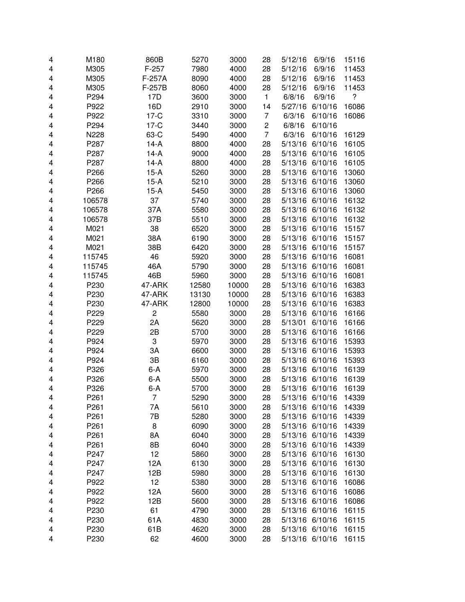| 4      | M180   | 860B           | 5270         | 3000  | 28                      | 5/12/16         | 6/9/16  | 15116 |
|--------|--------|----------------|--------------|-------|-------------------------|-----------------|---------|-------|
| 4      | M305   | $F-257$        | 7980         | 4000  | 28                      | 5/12/16         | 6/9/16  | 11453 |
| 4      | M305   | F-257A         | 8090         | 4000  | 28                      | 5/12/16         | 6/9/16  | 11453 |
| 4      | M305   | F-257B         | 8060         | 4000  | 28                      | 5/12/16         | 6/9/16  | 11453 |
| 4      | P294   | 17D            | 3600         | 3000  | 1                       | 6/8/16          | 6/9/16  | ?     |
| 4      | P922   | 16D            | 2910         | 3000  | 14                      | 5/27/16         | 6/10/16 | 16086 |
| 4      | P922   | $17-C$         | 3310         | 3000  | 7                       | 6/3/16          | 6/10/16 | 16086 |
| 4      | P294   | $17-C$         | 3440         | 3000  | $\overline{\mathbf{c}}$ | 6/8/16          | 6/10/16 |       |
| 4      | N228   | 63-C           | 5490         | 4000  | $\overline{7}$          | 6/3/16          | 6/10/16 | 16129 |
| 4      | P287   | $14-A$         | 8800         | 4000  | 28                      | 5/13/16         | 6/10/16 | 16105 |
| 4      | P287   | $14-A$         | 9000         | 4000  | 28                      | 5/13/16 6/10/16 |         | 16105 |
| 4      | P287   | $14-A$         | 8800         | 4000  | 28                      | 5/13/16 6/10/16 |         | 16105 |
| 4      | P266   | $15-A$         | 5260         | 3000  | 28                      | 5/13/16 6/10/16 |         | 13060 |
| 4      | P266   | $15-A$         | 5210         | 3000  | 28                      | 5/13/16         | 6/10/16 | 13060 |
| 4      | P266   | $15-A$         | 5450         | 3000  | 28                      | 5/13/16         | 6/10/16 | 13060 |
| 4      | 106578 | 37             | 5740         | 3000  | 28                      | 5/13/16         | 6/10/16 | 16132 |
| 4      | 106578 | 37A            | 5580         | 3000  | 28                      | 5/13/16         | 6/10/16 | 16132 |
| 4      | 106578 | 37B            | 5510         | 3000  | 28                      | 5/13/16         | 6/10/16 | 16132 |
| 4      | M021   | 38             | 6520         | 3000  | 28                      | 5/13/16         | 6/10/16 | 15157 |
| 4      | M021   | 38A            | 6190         | 3000  | 28                      | 5/13/16         | 6/10/16 | 15157 |
| 4      | M021   | 38B            | 6420         | 3000  | 28                      | 5/13/16         | 6/10/16 | 15157 |
| 4      | 115745 | 46             | 5920         | 3000  | 28                      | 5/13/16         | 6/10/16 | 16081 |
| 4      | 115745 | 46A            | 5790         | 3000  | 28                      | 5/13/16         | 6/10/16 | 16081 |
| 4      | 115745 | 46B            | 5960         | 3000  | 28                      | 5/13/16         | 6/10/16 | 16081 |
| 4      | P230   | 47-ARK         | 12580        | 10000 | 28                      | 5/13/16         | 6/10/16 | 16383 |
| 4      | P230   | 47-ARK         | 13130        | 10000 | 28                      | 5/13/16         | 6/10/16 | 16383 |
| 4      | P230   | 47-ARK         | 12800        | 10000 | 28                      | 5/13/16 6/10/16 |         | 16383 |
| 4      | P229   | $\overline{c}$ | 5580         | 3000  | 28                      | 5/13/16 6/10/16 |         | 16166 |
| 4      | P229   | 2A             | 5620         | 3000  | 28                      | 5/13/01         | 6/10/16 | 16166 |
| 4      | P229   | 2B             | 5700         | 3000  | 28                      | 5/13/16         | 6/10/16 | 16166 |
| 4      | P924   | 3              | 5970         | 3000  | 28                      | 5/13/16         | 6/10/16 | 15393 |
| 4      | P924   | 3A             | 6600         | 3000  | 28                      | 5/13/16         | 6/10/16 | 15393 |
| 4      | P924   | $3\mathsf{B}$  | 6160         | 3000  | 28                      | 5/13/16         | 6/10/16 | 15393 |
| 4      | P326   | 6-A            | 5970         | 3000  | 28                      | 5/13/16         | 6/10/16 | 16139 |
| 4      | P326   | 6-A            | 5500         | 3000  | 28                      | 5/13/16         | 6/10/16 | 16139 |
| 4      | P326   | 6-A            | 5700         | 3000  | 28                      | 5/13/16 6/10/16 |         | 16139 |
| 4      | P261   | 7              | 5290         | 3000  | 28                      | 5/13/16 6/10/16 |         | 14339 |
| 4      | P261   | 7Α             | 5610         | 3000  | 28                      | 5/13/16         | 6/10/16 | 14339 |
| 4      | P261   | 7B             | 5280         | 3000  | 28                      | 5/13/16         | 6/10/16 | 14339 |
| 4      | P261   | 8              | 6090         | 3000  | 28                      | 5/13/16 6/10/16 |         | 14339 |
| 4      | P261   | 8A             | 6040         | 3000  | 28                      | 5/13/16 6/10/16 |         | 14339 |
| 4      | P261   | 8B             | 6040         | 3000  | 28                      | 5/13/16 6/10/16 |         | 14339 |
| 4      | P247   | 12             | 5860         | 3000  | 28                      | 5/13/16 6/10/16 |         | 16130 |
| 4      | P247   | 12A            | 6130         | 3000  | 28                      | 5/13/16 6/10/16 |         | 16130 |
| 4      | P247   | 12B            | 5980         | 3000  | 28                      | 5/13/16 6/10/16 |         | 16130 |
| 4      | P922   | 12             | 5380         | 3000  | 28                      | 5/13/16 6/10/16 |         | 16086 |
|        | P922   | 12A            |              | 3000  | 28                      | 5/13/16 6/10/16 |         | 16086 |
| 4<br>4 | P922   | 12B            | 5600<br>5600 | 3000  | 28                      | 5/13/16 6/10/16 |         | 16086 |
|        | P230   | 61             | 4790         |       | 28                      | 5/13/16 6/10/16 |         | 16115 |
| 4      | P230   | 61A            | 4830         | 3000  | 28                      | 5/13/16         | 6/10/16 | 16115 |
| 4      | P230   | 61B            |              | 3000  |                         | 5/13/16 6/10/16 |         |       |
| 4      |        |                | 4620         | 3000  | 28                      |                 |         | 16115 |
| 4      | P230   | 62             | 4600         | 3000  | 28                      | 5/13/16 6/10/16 |         | 16115 |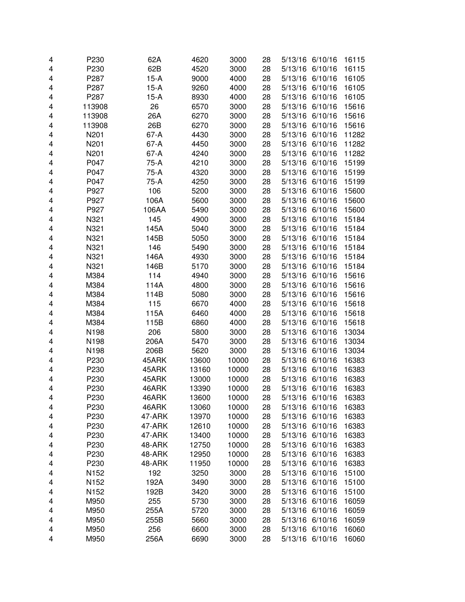| 4 | P230   | 62A    | 4620  | 3000  | 28 | 5/13/16 6/10/16 |         | 16115 |
|---|--------|--------|-------|-------|----|-----------------|---------|-------|
| 4 | P230   | 62B    | 4520  | 3000  | 28 | 5/13/16         | 6/10/16 | 16115 |
| 4 | P287   | $15-A$ | 9000  | 4000  | 28 | 5/13/16         | 6/10/16 | 16105 |
| 4 | P287   | $15-A$ | 9260  | 4000  | 28 | 5/13/16         | 6/10/16 | 16105 |
| 4 | P287   | $15-A$ | 8930  | 4000  | 28 | 5/13/16         | 6/10/16 | 16105 |
| 4 | 113908 | 26     | 6570  | 3000  | 28 | 5/13/16         | 6/10/16 | 15616 |
| 4 | 113908 | 26A    | 6270  | 3000  | 28 | 5/13/16 6/10/16 |         | 15616 |
| 4 | 113908 | 26B    | 6270  | 3000  | 28 | 5/13/16 6/10/16 |         | 15616 |
| 4 | N201   | 67-A   | 4430  | 3000  | 28 | 5/13/16 6/10/16 |         | 11282 |
| 4 | N201   | 67-A   | 4450  | 3000  | 28 | 5/13/16 6/10/16 |         | 11282 |
| 4 | N201   | 67-A   | 4240  | 3000  | 28 | 5/13/16 6/10/16 |         | 11282 |
| 4 | P047   | 75-A   | 4210  | 3000  | 28 | 5/13/16 6/10/16 |         | 15199 |
| 4 | P047   | $75-A$ | 4320  | 3000  | 28 | 5/13/16 6/10/16 |         | 15199 |
| 4 | P047   | $75-A$ | 4250  | 3000  | 28 | 5/13/16 6/10/16 |         | 15199 |
| 4 | P927   | 106    | 5200  | 3000  | 28 | 5/13/16 6/10/16 |         | 15600 |
| 4 | P927   | 106A   | 5600  | 3000  | 28 | 5/13/16 6/10/16 |         | 15600 |
| 4 | P927   | 106AA  | 5490  | 3000  | 28 | 5/13/16         | 6/10/16 | 15600 |
| 4 | N321   | 145    | 4900  | 3000  | 28 | 5/13/16         | 6/10/16 | 15184 |
| 4 | N321   | 145A   | 5040  | 3000  | 28 | 5/13/16         | 6/10/16 | 15184 |
| 4 | N321   | 145B   | 5050  | 3000  | 28 | 5/13/16         | 6/10/16 | 15184 |
| 4 | N321   | 146    | 5490  | 3000  | 28 | 5/13/16         | 6/10/16 | 15184 |
| 4 | N321   | 146A   | 4930  | 3000  | 28 | 5/13/16         | 6/10/16 | 15184 |
| 4 | N321   | 146B   | 5170  | 3000  | 28 | 5/13/16         | 6/10/16 | 15184 |
| 4 | M384   | 114    | 4940  | 3000  | 28 | 5/13/16 6/10/16 |         | 15616 |
| 4 | M384   | 114A   | 4800  | 3000  | 28 | 5/13/16 6/10/16 |         | 15616 |
| 4 | M384   | 114B   | 5080  | 3000  | 28 | 5/13/16 6/10/16 |         | 15616 |
| 4 | M384   | 115    | 6670  | 4000  | 28 | 5/13/16 6/10/16 |         | 15618 |
| 4 | M384   | 115A   | 6460  | 4000  | 28 | 5/13/16 6/10/16 |         | 15618 |
| 4 | M384   | 115B   | 6860  | 4000  | 28 | 5/13/16 6/10/16 |         | 15618 |
| 4 | N198   | 206    | 5800  | 3000  | 28 | 5/13/16 6/10/16 |         | 13034 |
| 4 | N198   | 206A   | 5470  | 3000  | 28 | 5/13/16 6/10/16 |         | 13034 |
| 4 | N198   | 206B   | 5620  | 3000  | 28 | 5/13/16 6/10/16 |         | 13034 |
| 4 | P230   | 45ARK  | 13600 | 10000 | 28 | 5/13/16 6/10/16 |         | 16383 |
| 4 | P230   | 45ARK  | 13160 | 10000 | 28 | 5/13/16         | 6/10/16 | 16383 |
| 4 | P230   | 45ARK  | 13000 | 10000 | 28 | 5/13/16         | 6/10/16 | 16383 |
| 4 | P230   | 46ARK  | 13390 | 10000 | 28 | 5/13/16 6/10/16 |         | 16383 |
| 4 | P230   | 46ARK  | 13600 | 10000 | 28 | 5/13/16 6/10/16 |         | 16383 |
| 4 | P230   | 46ARK  | 13060 | 10000 | 28 | 5/13/16 6/10/16 |         | 16383 |
| 4 | P230   | 47-ARK | 13970 | 10000 | 28 | 5/13/16         | 6/10/16 | 16383 |
| 4 | P230   | 47-ARK | 12610 | 10000 | 28 | 5/13/16 6/10/16 |         | 16383 |
| 4 | P230   | 47-ARK | 13400 | 10000 | 28 | 5/13/16 6/10/16 |         | 16383 |
| 4 | P230   | 48-ARK | 12750 | 10000 | 28 | 5/13/16 6/10/16 |         | 16383 |
| 4 | P230   | 48-ARK | 12950 | 10000 | 28 | 5/13/16 6/10/16 |         | 16383 |
| 4 | P230   | 48-ARK | 11950 | 10000 | 28 | 5/13/16 6/10/16 |         | 16383 |
| 4 | N152   | 192    | 3250  | 3000  | 28 | 5/13/16 6/10/16 |         | 15100 |
| 4 | N152   | 192A   | 3490  | 3000  | 28 | 5/13/16 6/10/16 |         | 15100 |
| 4 | N152   | 192B   | 3420  | 3000  | 28 | 5/13/16 6/10/16 |         | 15100 |
| 4 | M950   | 255    | 5730  | 3000  | 28 | 5/13/16 6/10/16 |         | 16059 |
| 4 | M950   | 255A   | 5720  | 3000  | 28 | 5/13/16 6/10/16 |         | 16059 |
| 4 | M950   | 255B   | 5660  | 3000  | 28 | 5/13/16 6/10/16 |         | 16059 |
| 4 | M950   | 256    | 6600  | 3000  | 28 | 5/13/16 6/10/16 |         | 16060 |
| 4 | M950   | 256A   | 6690  | 3000  | 28 | 5/13/16 6/10/16 |         | 16060 |
|   |        |        |       |       |    |                 |         |       |